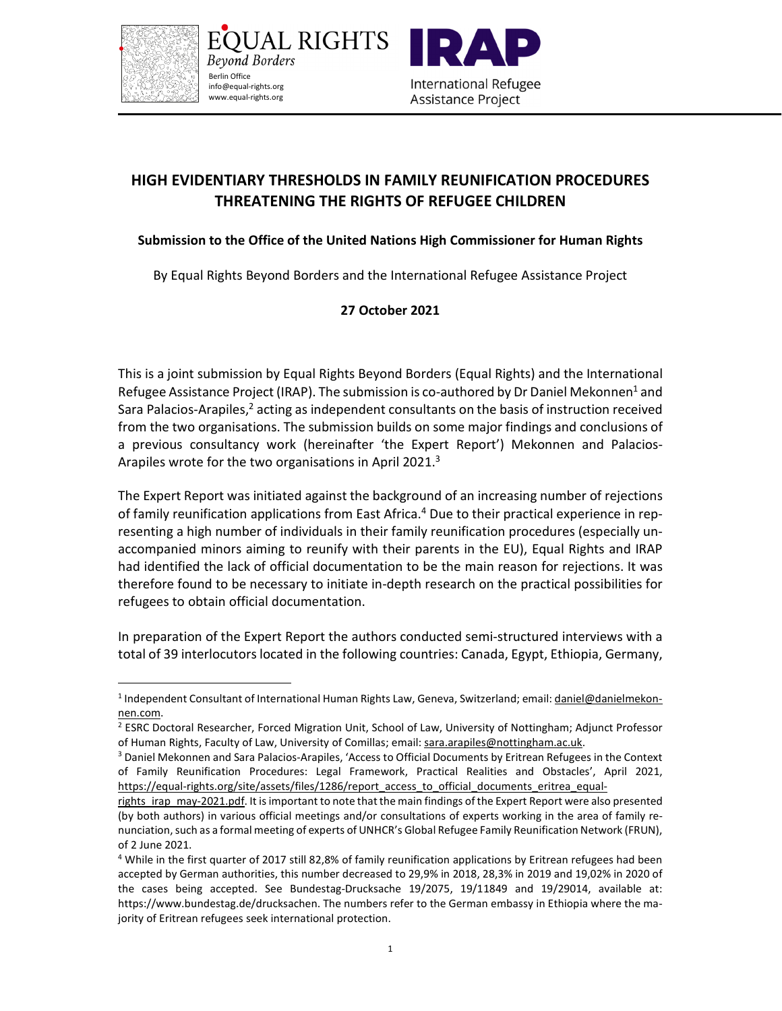

JAL RIGHTS Beyond Borders Berlin Office info@equal-rights.org www.equal-rights.org



## **HIGH EVIDENTIARY THRESHOLDS IN FAMILY REUNIFICATION PROCEDURES THREATENING THE RIGHTS OF REFUGEE CHILDREN**

## **Submission to the Office of the United Nations High Commissioner for Human Rights**

By Equal Rights Beyond Borders and the International Refugee Assistance Project

## **27 October 2021**

This is a joint submission by Equal Rights Beyond Borders (Equal Rights) and the International Refugee Assistance Project (IRAP). The submission is co-authored by Dr Daniel Mekonnen<sup>1</sup> and Sara Palacios-Arapiles,<sup>2</sup> acting as independent consultants on the basis of instruction received from the two organisations. The submission builds on some major findings and conclusions of a previous consultancy work (hereinafter 'the Expert Report') Mekonnen and Palacios-Arapiles wrote for the two organisations in April 2021.<sup>3</sup>

The Expert Report was initiated against the background of an increasing number of rejections of family reunification applications from East Africa.<sup>4</sup> Due to their practical experience in representing a high number of individuals in their family reunification procedures (especially unaccompanied minors aiming to reunify with their parents in the EU), Equal Rights and IRAP had identified the lack of official documentation to be the main reason for rejections. It was therefore found to be necessary to initiate in-depth research on the practical possibilities for refugees to obtain official documentation.

In preparation of the Expert Report the authors conducted semi-structured interviews with a total of 39 interlocutors located in the following countries: Canada, Egypt, Ethiopia, Germany,

<sup>&</sup>lt;sup>1</sup> Independent Consultant of International Human Rights Law, Geneva, Switzerland; email: **daniel@danielmekon**nen.com.

<sup>&</sup>lt;sup>2</sup> ESRC Doctoral Researcher, Forced Migration Unit, School of Law, University of Nottingham; Adjunct Professor of Human Rights, Faculty of Law, University of Comillas; email: sara.arapiles@nottingham.ac.uk.

<sup>&</sup>lt;sup>3</sup> Daniel Mekonnen and Sara Palacios-Arapiles, 'Access to Official Documents by Eritrean Refugees in the Context of Family Reunification Procedures: Legal Framework, Practical Realities and Obstacles', April 2021, https://equal-rights.org/site/assets/files/1286/report\_access\_to\_official\_documents\_eritrea\_equal-

rights irap may-2021.pdf. It is important to note that the main findings of the Expert Report were also presented (by both authors) in various official meetings and/or consultations of experts working in the area of family renunciation, such as a formal meeting of experts of UNHCR's Global Refugee Family Reunification Network (FRUN), of 2 June 2021.

<sup>&</sup>lt;sup>4</sup> While in the first quarter of 2017 still 82,8% of family reunification applications by Eritrean refugees had been accepted by German authorities, this number decreased to 29,9% in 2018, 28,3% in 2019 and 19,02% in 2020 of the cases being accepted. See Bundestag-Drucksache 19/2075, 19/11849 and 19/29014, available at: https://www.bundestag.de/drucksachen. The numbers refer to the German embassy in Ethiopia where the majority of Eritrean refugees seek international protection.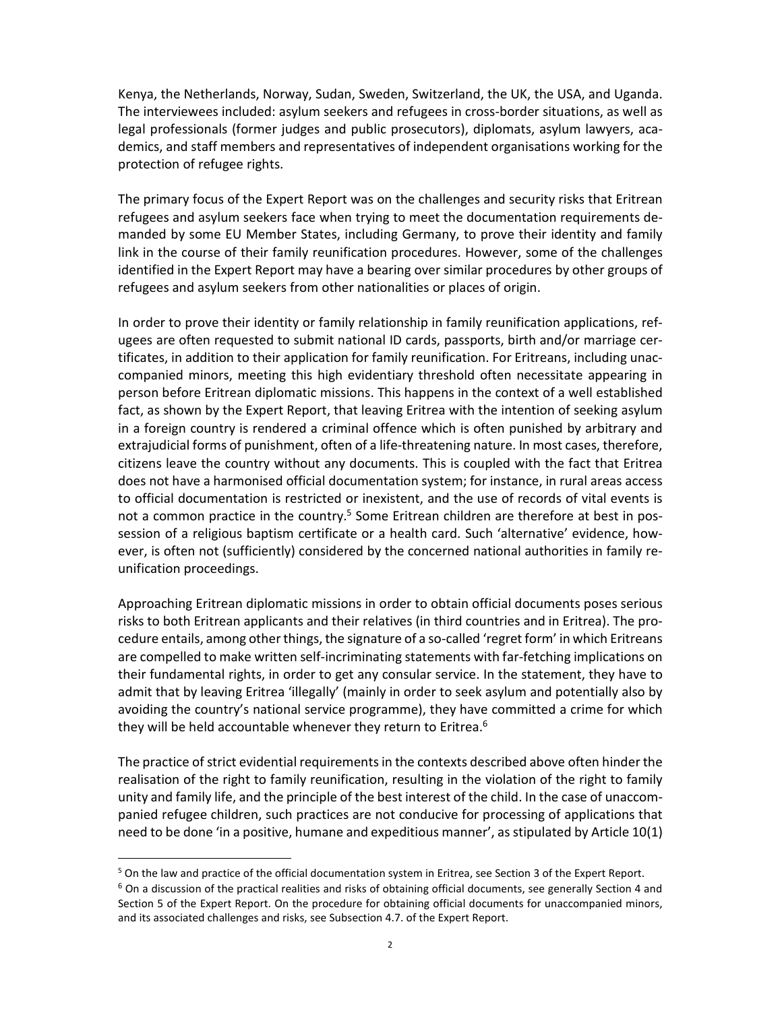Kenya, the Netherlands, Norway, Sudan, Sweden, Switzerland, the UK, the USA, and Uganda. The interviewees included: asylum seekers and refugees in cross-border situations, as well as legal professionals (former judges and public prosecutors), diplomats, asylum lawyers, academics, and staff members and representatives of independent organisations working for the protection of refugee rights.

The primary focus of the Expert Report was on the challenges and security risks that Eritrean refugees and asylum seekers face when trying to meet the documentation requirements demanded by some EU Member States, including Germany, to prove their identity and family link in the course of their family reunification procedures. However, some of the challenges identified in the Expert Report may have a bearing over similar procedures by other groups of refugees and asylum seekers from other nationalities or places of origin.

In order to prove their identity or family relationship in family reunification applications, refugees are often requested to submit national ID cards, passports, birth and/or marriage certificates, in addition to their application for family reunification. For Eritreans, including unaccompanied minors, meeting this high evidentiary threshold often necessitate appearing in person before Eritrean diplomatic missions. This happens in the context of a well established fact, as shown by the Expert Report, that leaving Eritrea with the intention of seeking asylum in a foreign country is rendered a criminal offence which is often punished by arbitrary and extrajudicial forms of punishment, often of a life-threatening nature. In most cases, therefore, citizens leave the country without any documents. This is coupled with the fact that Eritrea does not have a harmonised official documentation system; for instance, in rural areas access to official documentation is restricted or inexistent, and the use of records of vital events is not a common practice in the country.<sup>5</sup> Some Eritrean children are therefore at best in possession of a religious baptism certificate or a health card. Such 'alternative' evidence, however, is often not (sufficiently) considered by the concerned national authorities in family reunification proceedings.

Approaching Eritrean diplomatic missions in order to obtain official documents poses serious risks to both Eritrean applicants and their relatives (in third countries and in Eritrea). The procedure entails, among other things, the signature of a so-called 'regret form' in which Eritreans are compelled to make written self-incriminating statements with far-fetching implications on their fundamental rights, in order to get any consular service. In the statement, they have to admit that by leaving Eritrea 'illegally' (mainly in order to seek asylum and potentially also by avoiding the country's national service programme), they have committed a crime for which they will be held accountable whenever they return to Eritrea.<sup>6</sup>

The practice of strict evidential requirements in the contexts described above often hinder the realisation of the right to family reunification, resulting in the violation of the right to family unity and family life, and the principle of the best interest of the child. In the case of unaccompanied refugee children, such practices are not conducive for processing of applications that need to be done 'in a positive, humane and expeditious manner', as stipulated by Article 10(1)

<sup>&</sup>lt;sup>5</sup> On the law and practice of the official documentation system in Eritrea, see Section 3 of the Expert Report.

<sup>&</sup>lt;sup>6</sup> On a discussion of the practical realities and risks of obtaining official documents, see generally Section 4 and Section 5 of the Expert Report. On the procedure for obtaining official documents for unaccompanied minors, and its associated challenges and risks, see Subsection 4.7. of the Expert Report.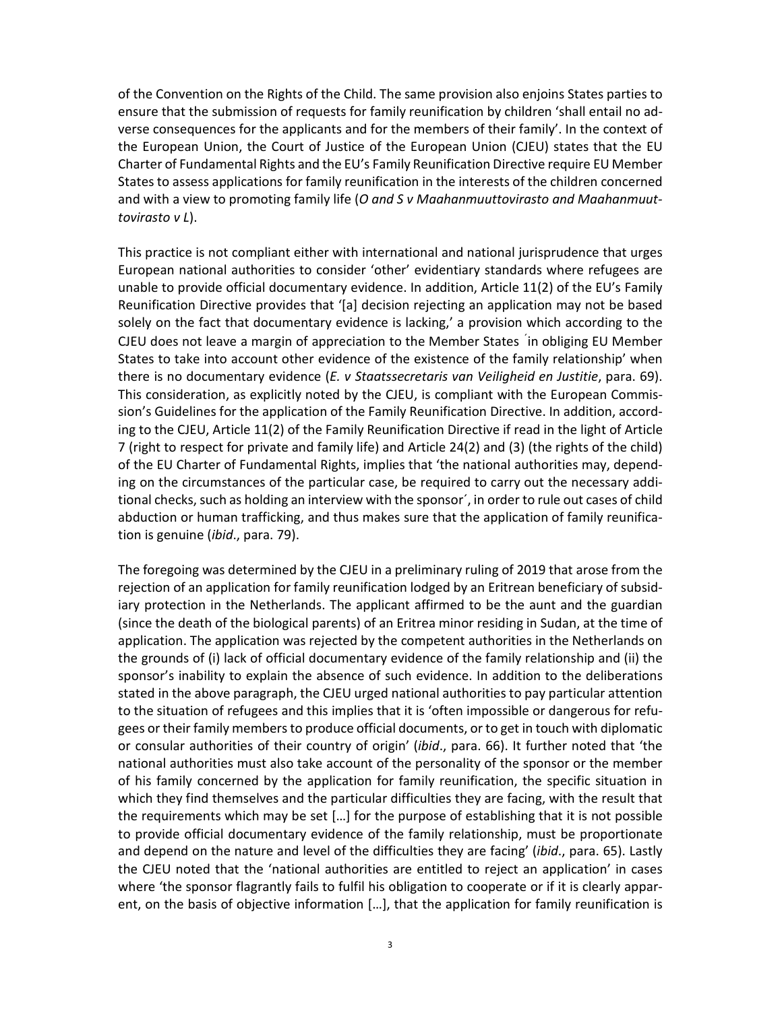of the Convention on the Rights of the Child. The same provision also enjoins States parties to ensure that the submission of requests for family reunification by children 'shall entail no adverse consequences for the applicants and for the members of their family'. In the context of the European Union, the Court of Justice of the European Union (CJEU) states that the EU Charter of Fundamental Rights and the EU's Family Reunification Directive require EU Member States to assess applications for family reunification in the interests of the children concerned and with a view to promoting family life (*O and S v Maahanmuuttovirasto and Maahanmuuttovirasto v L*).

This practice is not compliant either with international and national jurisprudence that urges European national authorities to consider 'other' evidentiary standards where refugees are unable to provide official documentary evidence. In addition, Article 11(2) of the EU's Family Reunification Directive provides that '[a] decision rejecting an application may not be based solely on the fact that documentary evidence is lacking,' a provision which according to the CJEU does not leave a margin of appreciation to the Member States ´in obliging EU Member States to take into account other evidence of the existence of the family relationship' when there is no documentary evidence (*E. v Staatssecretaris van Veiligheid en Justitie*, para. 69). This consideration, as explicitly noted by the CJEU, is compliant with the European Commission's Guidelines for the application of the Family Reunification Directive. In addition, according to the CJEU, Article 11(2) of the Family Reunification Directive if read in the light of Article 7 (right to respect for private and family life) and Article 24(2) and (3) (the rights of the child) of the EU Charter of Fundamental Rights, implies that 'the national authorities may, depending on the circumstances of the particular case, be required to carry out the necessary additional checks, such as holding an interview with the sponsor´, in order to rule out cases of child abduction or human trafficking, and thus makes sure that the application of family reunification is genuine (*ibid*., para. 79).

The foregoing was determined by the CJEU in a preliminary ruling of 2019 that arose from the rejection of an application for family reunification lodged by an Eritrean beneficiary of subsidiary protection in the Netherlands. The applicant affirmed to be the aunt and the guardian (since the death of the biological parents) of an Eritrea minor residing in Sudan, at the time of application. The application was rejected by the competent authorities in the Netherlands on the grounds of (i) lack of official documentary evidence of the family relationship and (ii) the sponsor's inability to explain the absence of such evidence. In addition to the deliberations stated in the above paragraph, the CJEU urged national authorities to pay particular attention to the situation of refugees and this implies that it is 'often impossible or dangerous for refugees or their family members to produce official documents, or to get in touch with diplomatic or consular authorities of their country of origin' (*ibid*., para. 66). It further noted that 'the national authorities must also take account of the personality of the sponsor or the member of his family concerned by the application for family reunification, the specific situation in which they find themselves and the particular difficulties they are facing, with the result that the requirements which may be set […] for the purpose of establishing that it is not possible to provide official documentary evidence of the family relationship, must be proportionate and depend on the nature and level of the difficulties they are facing' (*ibid*., para. 65). Lastly the CJEU noted that the 'national authorities are entitled to reject an application' in cases where 'the sponsor flagrantly fails to fulfil his obligation to cooperate or if it is clearly apparent, on the basis of objective information […], that the application for family reunification is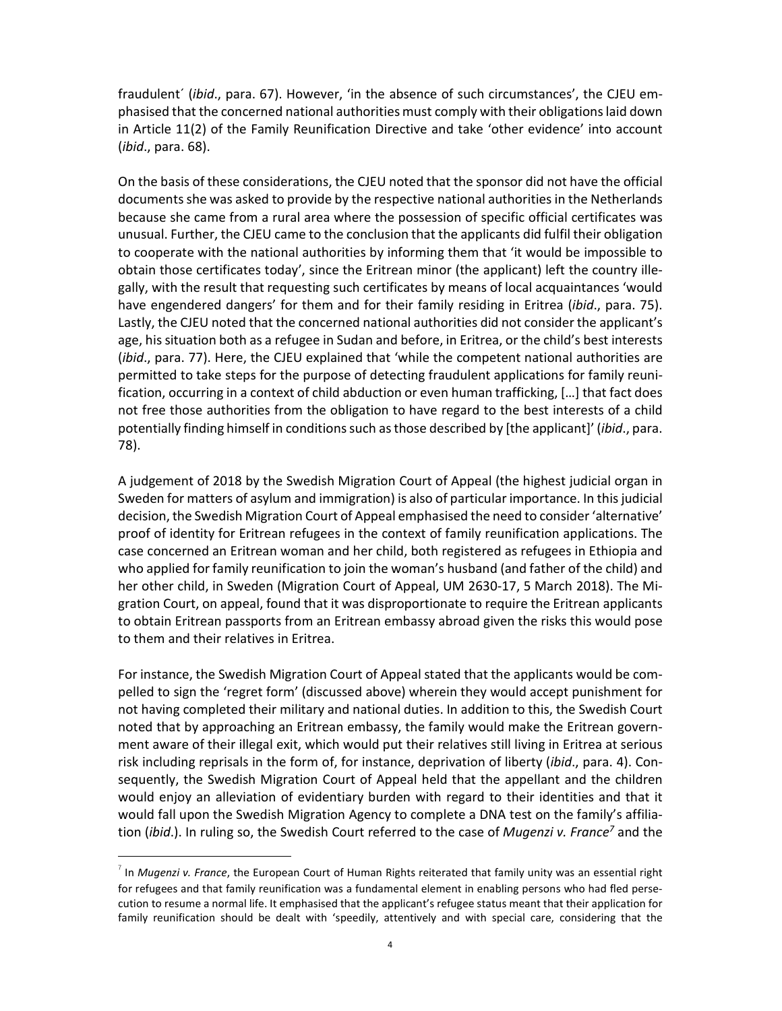fraudulent´ (*ibid*., para. 67). However, 'in the absence of such circumstances', the CJEU emphasised that the concerned national authorities must comply with their obligations laid down in Article 11(2) of the Family Reunification Directive and take 'other evidence' into account (*ibid*., para. 68).

On the basis of these considerations, the CJEU noted that the sponsor did not have the official documents she was asked to provide by the respective national authorities in the Netherlands because she came from a rural area where the possession of specific official certificates was unusual. Further, the CJEU came to the conclusion that the applicants did fulfil their obligation to cooperate with the national authorities by informing them that 'it would be impossible to obtain those certificates today', since the Eritrean minor (the applicant) left the country illegally, with the result that requesting such certificates by means of local acquaintances 'would have engendered dangers' for them and for their family residing in Eritrea (*ibid*., para. 75). Lastly, the CJEU noted that the concerned national authorities did not consider the applicant's age, his situation both as a refugee in Sudan and before, in Eritrea, or the child's best interests (*ibid*., para. 77). Here, the CJEU explained that 'while the competent national authorities are permitted to take steps for the purpose of detecting fraudulent applications for family reunification, occurring in a context of child abduction or even human trafficking, […] that fact does not free those authorities from the obligation to have regard to the best interests of a child potentially finding himself in conditions such as those described by [the applicant]' (*ibid*., para. 78).

A judgement of 2018 by the Swedish Migration Court of Appeal (the highest judicial organ in Sweden for matters of asylum and immigration) is also of particular importance. In this judicial decision, the Swedish Migration Court of Appeal emphasised the need to consider 'alternative' proof of identity for Eritrean refugees in the context of family reunification applications. The case concerned an Eritrean woman and her child, both registered as refugees in Ethiopia and who applied for family reunification to join the woman's husband (and father of the child) and her other child, in Sweden (Migration Court of Appeal, UM 2630-17, 5 March 2018). The Migration Court, on appeal, found that it was disproportionate to require the Eritrean applicants to obtain Eritrean passports from an Eritrean embassy abroad given the risks this would pose to them and their relatives in Eritrea.

For instance, the Swedish Migration Court of Appeal stated that the applicants would be compelled to sign the 'regret form' (discussed above) wherein they would accept punishment for not having completed their military and national duties. In addition to this, the Swedish Court noted that by approaching an Eritrean embassy, the family would make the Eritrean government aware of their illegal exit, which would put their relatives still living in Eritrea at serious risk including reprisals in the form of, for instance, deprivation of liberty (*ibid*., para. 4). Consequently, the Swedish Migration Court of Appeal held that the appellant and the children would enjoy an alleviation of evidentiary burden with regard to their identities and that it would fall upon the Swedish Migration Agency to complete a DNA test on the family's affiliation (*ibid.*). In ruling so, the Swedish Court referred to the case of *Mugenzi v. France<sup>7</sup>* and the

<sup>7</sup> In *Mugenzi v. France*, the European Court of Human Rights reiterated that family unity was an essential right for refugees and that family reunification was a fundamental element in enabling persons who had fled persecution to resume a normal life. It emphasised that the applicant's refugee status meant that their application for family reunification should be dealt with 'speedily, attentively and with special care, considering that the